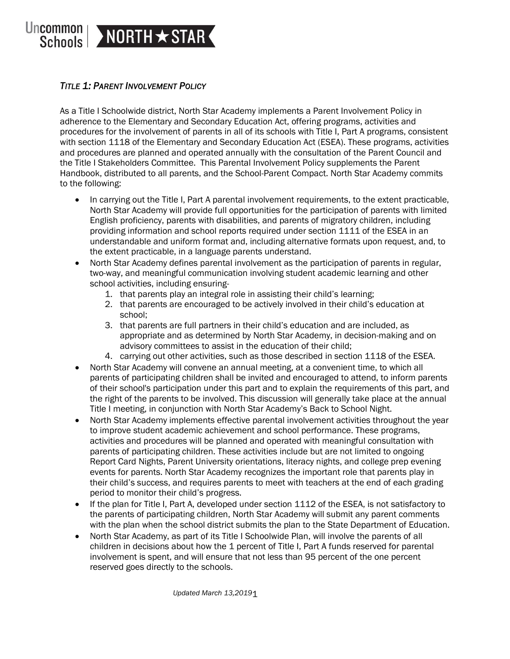

# *TITLE 1: PARENT INVOLVEMENT POLICY*

As a Title I Schoolwide district, North Star Academy implements a Parent Involvement Policy in adherence to the Elementary and Secondary Education Act, offering programs, activities and procedures for the involvement of parents in all of its schools with Title I, Part A programs, consistent with section 1118 of the Elementary and Secondary Education Act (ESEA). These programs, activities and procedures are planned and operated annually with the consultation of the Parent Council and the Title I Stakeholders Committee. This Parental Involvement Policy supplements the Parent Handbook, distributed to all parents, and the School-Parent Compact. North Star Academy commits to the following:

- In carrying out the Title I, Part A parental involvement requirements, to the extent practicable, North Star Academy will provide full opportunities for the participation of parents with limited English proficiency, parents with disabilities, and parents of migratory children, including providing information and school reports required under section 1111 of the ESEA in an understandable and uniform format and, including alternative formats upon request, and, to the extent practicable, in a language parents understand.
- North Star Academy defines parental involvement as the participation of parents in regular, two-way, and meaningful communication involving student academic learning and other school activities, including ensuring-
	- 1. that parents play an integral role in assisting their child's learning;
	- 2. that parents are encouraged to be actively involved in their child's education at school;
	- 3. that parents are full partners in their child's education and are included, as appropriate and as determined by North Star Academy, in decision-making and on advisory committees to assist in the education of their child;
	- 4. carrying out other activities, such as those described in section 1118 of the ESEA.
- North Star Academy will convene an annual meeting, at a convenient time, to which all parents of participating children shall be invited and encouraged to attend, to inform parents of their school's participation under this part and to explain the requirements of this part, and the right of the parents to be involved. This discussion will generally take place at the annual Title I meeting, in conjunction with North Star Academy's Back to School Night.
- North Star Academy implements effective parental involvement activities throughout the year to improve student academic achievement and school performance. These programs, activities and procedures will be planned and operated with meaningful consultation with parents of participating children. These activities include but are not limited to ongoing Report Card Nights, Parent University orientations, literacy nights, and college prep evening events for parents. North Star Academy recognizes the important role that parents play in their child's success, and requires parents to meet with teachers at the end of each grading period to monitor their child's progress.
- If the plan for Title I, Part A, developed under section 1112 of the ESEA, is not satisfactory to the parents of participating children, North Star Academy will submit any parent comments with the plan when the school district submits the plan to the State Department of Education.
- North Star Academy, as part of its Title I Schoolwide Plan, will involve the parents of all children in decisions about how the 1 percent of Title I, Part A funds reserved for parental involvement is spent, and will ensure that not less than 95 percent of the one percent reserved goes directly to the schools.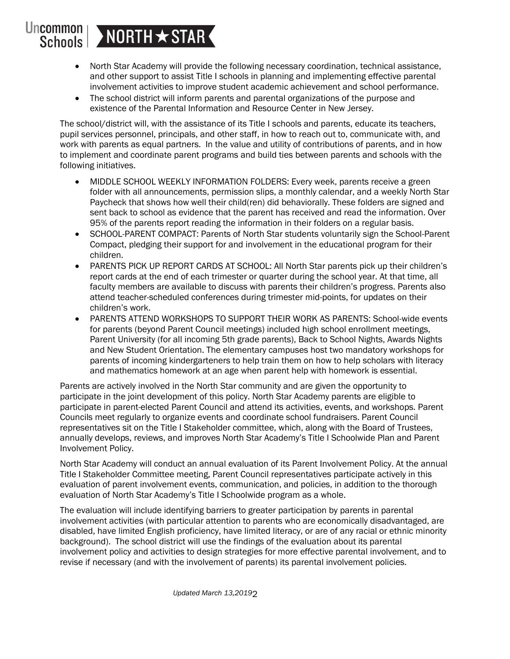### **Uncommon** NORTH \* STAR **Schools**

- North Star Academy will provide the following necessary coordination, technical assistance, and other support to assist Title I schools in planning and implementing effective parental involvement activities to improve student academic achievement and school performance.
- The school district will inform parents and parental organizations of the purpose and existence of the Parental Information and Resource Center in New Jersey.

The school/district will, with the assistance of its Title I schools and parents, educate its teachers, pupil services personnel, principals, and other staff, in how to reach out to, communicate with, and work with parents as equal partners. In the value and utility of contributions of parents, and in how to implement and coordinate parent programs and build ties between parents and schools with the following initiatives.

- MIDDLE SCHOOL WEEKLY INFORMATION FOLDERS: Every week, parents receive a green folder with all announcements, permission slips, a monthly calendar, and a weekly North Star Paycheck that shows how well their child(ren) did behaviorally. These folders are signed and sent back to school as evidence that the parent has received and read the information. Over 95% of the parents report reading the information in their folders on a regular basis.
- SCHOOL-PARENT COMPACT: Parents of North Star students voluntarily sign the School-Parent Compact, pledging their support for and involvement in the educational program for their children.
- PARENTS PICK UP REPORT CARDS AT SCHOOL: All North Star parents pick up their children's report cards at the end of each trimester or quarter during the school year. At that time, all faculty members are available to discuss with parents their children's progress. Parents also attend teacher-scheduled conferences during trimester mid-points, for updates on their children's work.
- PARENTS ATTEND WORKSHOPS TO SUPPORT THEIR WORK AS PARENTS: School-wide events for parents (beyond Parent Council meetings) included high school enrollment meetings, Parent University (for all incoming 5th grade parents), Back to School Nights, Awards Nights and New Student Orientation. The elementary campuses host two mandatory workshops for parents of incoming kindergarteners to help train them on how to help scholars with literacy and mathematics homework at an age when parent help with homework is essential.

Parents are actively involved in the North Star community and are given the opportunity to participate in the joint development of this policy. North Star Academy parents are eligible to participate in parent-elected Parent Council and attend its activities, events, and workshops. Parent Councils meet regularly to organize events and coordinate school fundraisers. Parent Council representatives sit on the Title I Stakeholder committee, which, along with the Board of Trustees, annually develops, reviews, and improves North Star Academy's Title I Schoolwide Plan and Parent Involvement Policy.

North Star Academy will conduct an annual evaluation of its Parent Involvement Policy. At the annual Title I Stakeholder Committee meeting, Parent Council representatives participate actively in this evaluation of parent involvement events, communication, and policies, in addition to the thorough evaluation of North Star Academy's Title I Schoolwide program as a whole.

The evaluation will include identifying barriers to greater participation by parents in parental involvement activities (with particular attention to parents who are economically disadvantaged, are disabled, have limited English proficiency, have limited literacy, or are of any racial or ethnic minority background). The school district will use the findings of the evaluation about its parental involvement policy and activities to design strategies for more effective parental involvement, and to revise if necessary (and with the involvement of parents) its parental involvement policies.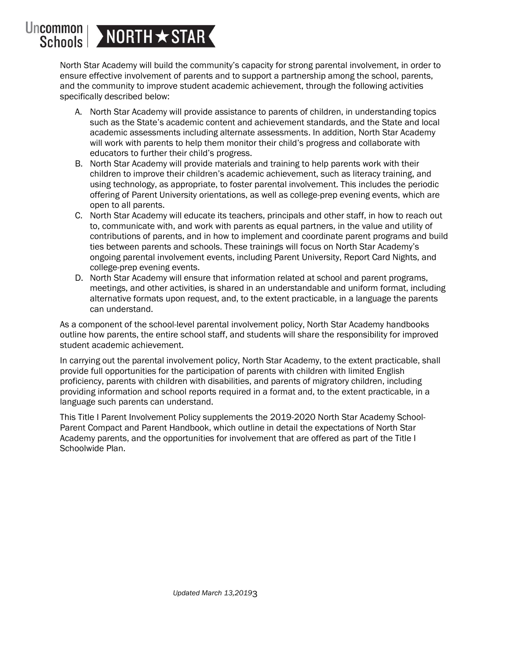### Uncommon NORTH \* STAR Schools

North Star Academy will build the community's capacity for strong parental involvement, in order to ensure effective involvement of parents and to support a partnership among the school, parents, and the community to improve student academic achievement, through the following activities specifically described below:

- A. North Star Academy will provide assistance to parents of children, in understanding topics such as the State's academic content and achievement standards, and the State and local academic assessments including alternate assessments. In addition, North Star Academy will work with parents to help them monitor their child's progress and collaborate with educators to further their child's progress.
- B. North Star Academy will provide materials and training to help parents work with their children to improve their children's academic achievement, such as literacy training, and using technology, as appropriate, to foster parental involvement. This includes the periodic offering of Parent University orientations, as well as college-prep evening events, which are open to all parents.
- C. North Star Academy will educate its teachers, principals and other staff, in how to reach out to, communicate with, and work with parents as equal partners, in the value and utility of contributions of parents, and in how to implement and coordinate parent programs and build ties between parents and schools. These trainings will focus on North Star Academy's ongoing parental involvement events, including Parent University, Report Card Nights, and college-prep evening events.
- D. North Star Academy will ensure that information related at school and parent programs, meetings, and other activities, is shared in an understandable and uniform format, including alternative formats upon request, and, to the extent practicable, in a language the parents can understand.

As a component of the school-level parental involvement policy, North Star Academy handbooks outline how parents, the entire school staff, and students will share the responsibility for improved student academic achievement.

In carrying out the parental involvement policy, North Star Academy, to the extent practicable, shall provide full opportunities for the participation of parents with children with limited English proficiency, parents with children with disabilities, and parents of migratory children, including providing information and school reports required in a format and, to the extent practicable, in a language such parents can understand.

This Title I Parent Involvement Policy supplements the 2019-2020 North Star Academy School-Parent Compact and Parent Handbook, which outline in detail the expectations of North Star Academy parents, and the opportunities for involvement that are offered as part of the Title I Schoolwide Plan.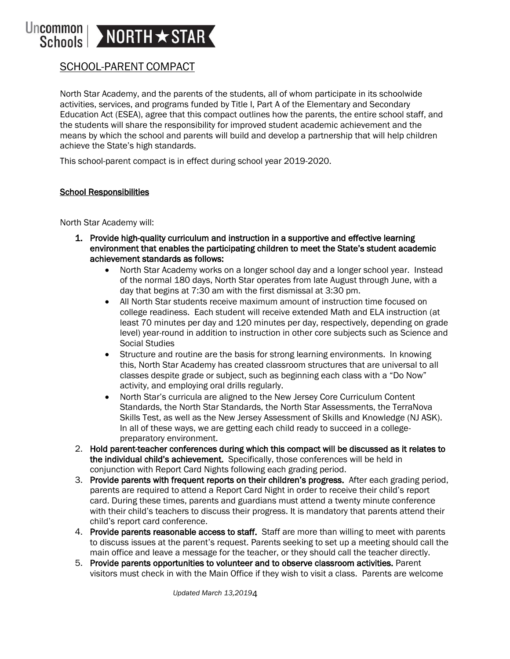#### Uncommon NORTH \* STAR Schools

# SCHOOL-PARENT COMPACT

North Star Academy, and the parents of the students, all of whom participate in its schoolwide activities, services, and programs funded by Title I, Part A of the Elementary and Secondary Education Act (ESEA), agree that this compact outlines how the parents, the entire school staff, and the students will share the responsibility for improved student academic achievement and the means by which the school and parents will build and develop a partnership that will help children achieve the State's high standards.

This school-parent compact is in effect during school year 2019-2020.

### School Responsibilities

North Star Academy will:

- 1. Provide high-quality curriculum and instruction in a supportive and effective learning environment that enables the participating children to meet the State's student academic achievement standards as follows:
	- North Star Academy works on a longer school day and a longer school year. Instead of the normal 180 days, North Star operates from late August through June, with a day that begins at 7:30 am with the first dismissal at 3:30 pm.
	- All North Star students receive maximum amount of instruction time focused on college readiness. Each student will receive extended Math and ELA instruction (at least 70 minutes per day and 120 minutes per day, respectively, depending on grade level) year-round in addition to instruction in other core subjects such as Science and Social Studies
	- Structure and routine are the basis for strong learning environments. In knowing this, North Star Academy has created classroom structures that are universal to all classes despite grade or subject, such as beginning each class with a "Do Now" activity, and employing oral drills regularly.
	- North Star's curricula are aligned to the New Jersey Core Curriculum Content Standards, the North Star Standards, the North Star Assessments, the TerraNova Skills Test, as well as the New Jersey Assessment of Skills and Knowledge (NJ ASK). In all of these ways, we are getting each child ready to succeed in a collegepreparatory environment.
- 2. Hold parent-teacher conferences during which this compact will be discussed as it relates to the individual child's achievement. Specifically, those conferences will be held in conjunction with Report Card Nights following each grading period.
- 3. Provide parents with frequent reports on their children's progress. After each grading period, parents are required to attend a Report Card Night in order to receive their child's report card. During these times, parents and guardians must attend a twenty minute conference with their child's teachers to discuss their progress. It is mandatory that parents attend their child's report card conference.
- 4. Provide parents reasonable access to staff. Staff are more than willing to meet with parents to discuss issues at the parent's request. Parents seeking to set up a meeting should call the main office and leave a message for the teacher, or they should call the teacher directly.
- 5. Provide parents opportunities to volunteer and to observe classroom activities. Parent visitors must check in with the Main Office if they wish to visit a class. Parents are welcome

*Updated March 13,2019*4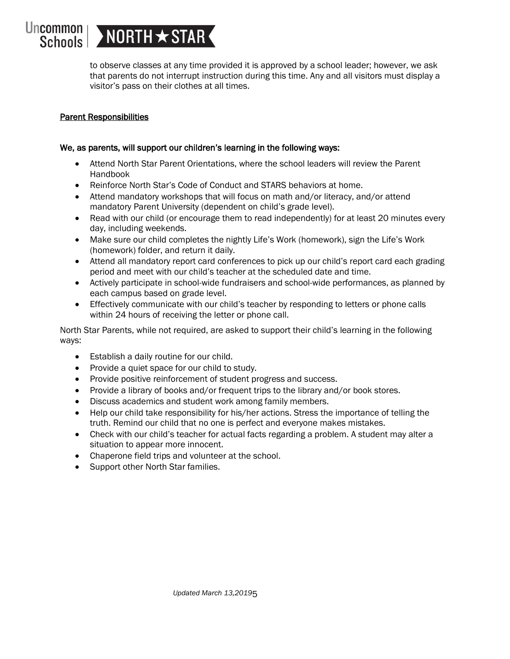# Uncommon | > NORTH  $\star$  STAR

to observe classes at any time provided it is approved by a school leader; however, we ask that parents do not interrupt instruction during this time. Any and all visitors must display a visitor's pass on their clothes at all times.

## Parent Responsibilities

### We, as parents, will support our children's learning in the following ways:

- Attend North Star Parent Orientations, where the school leaders will review the Parent Handbook
- Reinforce North Star's Code of Conduct and STARS behaviors at home.
- Attend mandatory workshops that will focus on math and/or literacy, and/or attend mandatory Parent University (dependent on child's grade level).
- Read with our child (or encourage them to read independently) for at least 20 minutes every day, including weekends.
- Make sure our child completes the nightly Life's Work (homework), sign the Life's Work (homework) folder, and return it daily.
- Attend all mandatory report card conferences to pick up our child's report card each grading period and meet with our child's teacher at the scheduled date and time.
- Actively participate in school-wide fundraisers and school-wide performances, as planned by each campus based on grade level.
- Effectively communicate with our child's teacher by responding to letters or phone calls within 24 hours of receiving the letter or phone call.

North Star Parents, while not required, are asked to support their child's learning in the following ways:

- Establish a daily routine for our child.
- Provide a quiet space for our child to study.
- Provide positive reinforcement of student progress and success.
- Provide a library of books and/or frequent trips to the library and/or book stores.
- Discuss academics and student work among family members.
- Help our child take responsibility for his/her actions. Stress the importance of telling the truth. Remind our child that no one is perfect and everyone makes mistakes.
- Check with our child's teacher for actual facts regarding a problem. A student may alter a situation to appear more innocent.
- Chaperone field trips and volunteer at the school.
- Support other North Star families.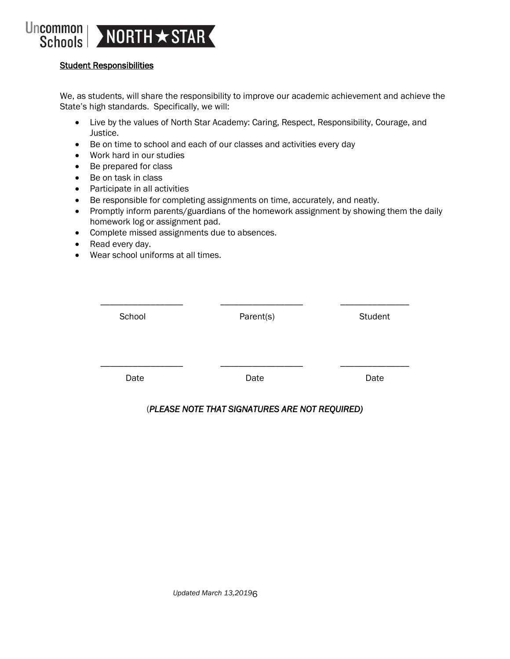

### Student Responsibilities

We, as students, will share the responsibility to improve our academic achievement and achieve the State's high standards. Specifically, we will:

- Live by the values of North Star Academy: Caring, Respect, Responsibility, Courage, and Justice.
- Be on time to school and each of our classes and activities every day
- Work hard in our studies
- Be prepared for class
- Be on task in class
- Participate in all activities
- Be responsible for completing assignments on time, accurately, and neatly.
- Promptly inform parents/guardians of the homework assignment by showing them the daily homework log or assignment pad.
- Complete missed assignments due to absences.
- Read every day.
- Wear school uniforms at all times.

| School | Parent(s) | Student |
|--------|-----------|---------|
|        |           |         |
|        |           |         |
| Date   | Date      | Date    |
|        |           |         |

### (*PLEASE NOTE THAT SIGNATURES ARE NOT REQUIRED)*